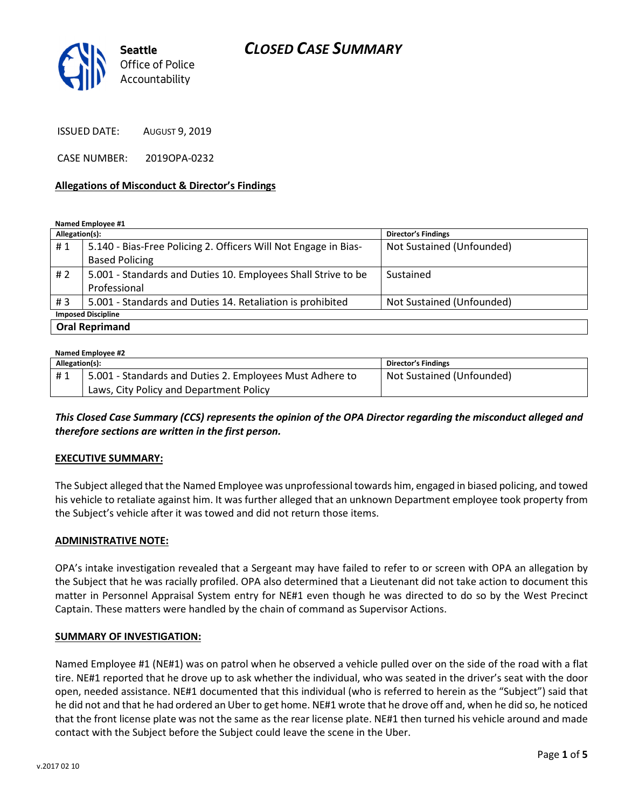

ISSUED DATE: AUGUST 9, 2019

CASE NUMBER: 2019OPA-0232

### Allegations of Misconduct & Director's Findings

Named Employee #1

| Allegation(s):            |                                                                 | <b>Director's Findings</b> |  |
|---------------------------|-----------------------------------------------------------------|----------------------------|--|
| #1                        | 5.140 - Bias-Free Policing 2. Officers Will Not Engage in Bias- | Not Sustained (Unfounded)  |  |
|                           | <b>Based Policing</b>                                           |                            |  |
| #2                        | 5.001 - Standards and Duties 10. Employees Shall Strive to be   | Sustained                  |  |
|                           | Professional                                                    |                            |  |
| #3                        | 5.001 - Standards and Duties 14. Retaliation is prohibited      | Not Sustained (Unfounded)  |  |
| <b>Imposed Discipline</b> |                                                                 |                            |  |
| <b>Oral Reprimand</b>     |                                                                 |                            |  |

#### Named Employee #2

| 110011100111100000112 |                                                          |                            |  |
|-----------------------|----------------------------------------------------------|----------------------------|--|
| Allegation(s):        |                                                          | <b>Director's Findings</b> |  |
| #1                    | 5.001 - Standards and Duties 2. Employees Must Adhere to | Not Sustained (Unfounded)  |  |
|                       | Laws, City Policy and Department Policy                  |                            |  |

This Closed Case Summary (CCS) represents the opinion of the OPA Director regarding the misconduct alleged and therefore sections are written in the first person.

#### EXECUTIVE SUMMARY:

The Subject alleged that the Named Employee was unprofessional towards him, engaged in biased policing, and towed his vehicle to retaliate against him. It was further alleged that an unknown Department employee took property from the Subject's vehicle after it was towed and did not return those items.

#### ADMINISTRATIVE NOTE:

OPA's intake investigation revealed that a Sergeant may have failed to refer to or screen with OPA an allegation by the Subject that he was racially profiled. OPA also determined that a Lieutenant did not take action to document this matter in Personnel Appraisal System entry for NE#1 even though he was directed to do so by the West Precinct Captain. These matters were handled by the chain of command as Supervisor Actions.

#### SUMMARY OF INVESTIGATION:

Named Employee #1 (NE#1) was on patrol when he observed a vehicle pulled over on the side of the road with a flat tire. NE#1 reported that he drove up to ask whether the individual, who was seated in the driver's seat with the door open, needed assistance. NE#1 documented that this individual (who is referred to herein as the "Subject") said that he did not and that he had ordered an Uber to get home. NE#1 wrote that he drove off and, when he did so, he noticed that the front license plate was not the same as the rear license plate. NE#1 then turned his vehicle around and made contact with the Subject before the Subject could leave the scene in the Uber.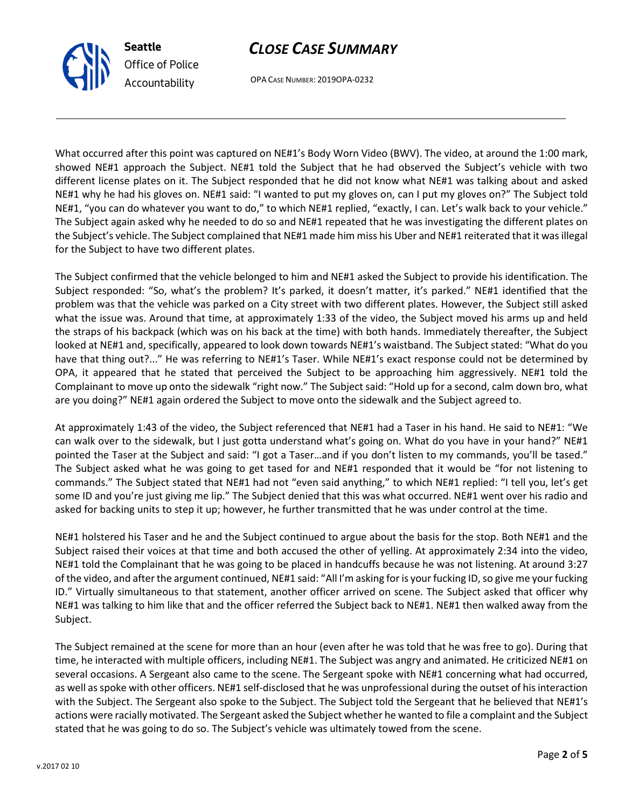OPA CASE NUMBER: 2019OPA-0232

What occurred after this point was captured on NE#1's Body Worn Video (BWV). The video, at around the 1:00 mark, showed NE#1 approach the Subject. NE#1 told the Subject that he had observed the Subject's vehicle with two different license plates on it. The Subject responded that he did not know what NE#1 was talking about and asked NE#1 why he had his gloves on. NE#1 said: "I wanted to put my gloves on, can I put my gloves on?" The Subject told NE#1, "you can do whatever you want to do," to which NE#1 replied, "exactly, I can. Let's walk back to your vehicle." The Subject again asked why he needed to do so and NE#1 repeated that he was investigating the different plates on the Subject's vehicle. The Subject complained that NE#1 made him miss his Uber and NE#1 reiterated that it was illegal for the Subject to have two different plates.

The Subject confirmed that the vehicle belonged to him and NE#1 asked the Subject to provide his identification. The Subject responded: "So, what's the problem? It's parked, it doesn't matter, it's parked." NE#1 identified that the problem was that the vehicle was parked on a City street with two different plates. However, the Subject still asked what the issue was. Around that time, at approximately 1:33 of the video, the Subject moved his arms up and held the straps of his backpack (which was on his back at the time) with both hands. Immediately thereafter, the Subject looked at NE#1 and, specifically, appeared to look down towards NE#1's waistband. The Subject stated: "What do you have that thing out?..." He was referring to NE#1's Taser. While NE#1's exact response could not be determined by OPA, it appeared that he stated that perceived the Subject to be approaching him aggressively. NE#1 told the Complainant to move up onto the sidewalk "right now." The Subject said: "Hold up for a second, calm down bro, what are you doing?" NE#1 again ordered the Subject to move onto the sidewalk and the Subject agreed to.

At approximately 1:43 of the video, the Subject referenced that NE#1 had a Taser in his hand. He said to NE#1: "We can walk over to the sidewalk, but I just gotta understand what's going on. What do you have in your hand?" NE#1 pointed the Taser at the Subject and said: "I got a Taser...and if you don't listen to my commands, you'll be tased." The Subject asked what he was going to get tased for and NE#1 responded that it would be "for not listening to commands." The Subject stated that NE#1 had not "even said anything," to which NE#1 replied: "I tell you, let's get some ID and you're just giving me lip." The Subject denied that this was what occurred. NE#1 went over his radio and asked for backing units to step it up; however, he further transmitted that he was under control at the time.

NE#1 holstered his Taser and he and the Subject continued to argue about the basis for the stop. Both NE#1 and the Subject raised their voices at that time and both accused the other of yelling. At approximately 2:34 into the video, NE#1 told the Complainant that he was going to be placed in handcuffs because he was not listening. At around 3:27 of the video, and after the argument continued, NE#1 said: "All I'm asking for is your fucking ID, so give me your fucking ID." Virtually simultaneous to that statement, another officer arrived on scene. The Subject asked that officer why NE#1 was talking to him like that and the officer referred the Subject back to NE#1. NE#1 then walked away from the Subject.

The Subject remained at the scene for more than an hour (even after he was told that he was free to go). During that time, he interacted with multiple officers, including NE#1. The Subject was angry and animated. He criticized NE#1 on several occasions. A Sergeant also came to the scene. The Sergeant spoke with NE#1 concerning what had occurred, as well as spoke with other officers. NE#1 self-disclosed that he was unprofessional during the outset of his interaction with the Subject. The Sergeant also spoke to the Subject. The Subject told the Sergeant that he believed that NE#1's actions were racially motivated. The Sergeant asked the Subject whether he wanted to file a complaint and the Subject stated that he was going to do so. The Subject's vehicle was ultimately towed from the scene.



Seattle

Office of Police Accountability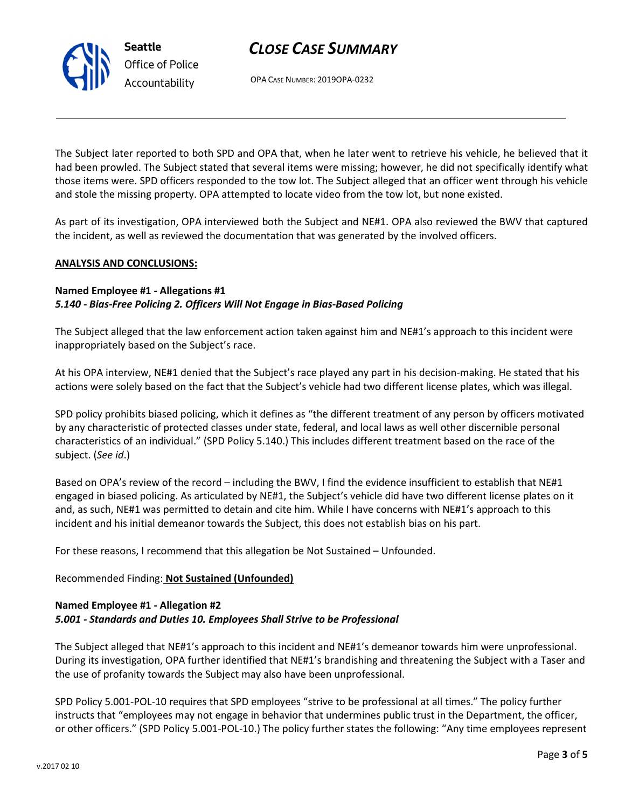OPA CASE NUMBER: 2019OPA-0232

The Subject later reported to both SPD and OPA that, when he later went to retrieve his vehicle, he believed that it had been prowled. The Subject stated that several items were missing; however, he did not specifically identify what those items were. SPD officers responded to the tow lot. The Subject alleged that an officer went through his vehicle and stole the missing property. OPA attempted to locate video from the tow lot, but none existed.

As part of its investigation, OPA interviewed both the Subject and NE#1. OPA also reviewed the BWV that captured the incident, as well as reviewed the documentation that was generated by the involved officers.

### ANALYSIS AND CONCLUSIONS:

### Named Employee #1 - Allegations #1 5.140 - Bias-Free Policing 2. Officers Will Not Engage in Bias-Based Policing

The Subject alleged that the law enforcement action taken against him and NE#1's approach to this incident were inappropriately based on the Subject's race.

At his OPA interview, NE#1 denied that the Subject's race played any part in his decision-making. He stated that his actions were solely based on the fact that the Subject's vehicle had two different license plates, which was illegal.

SPD policy prohibits biased policing, which it defines as "the different treatment of any person by officers motivated by any characteristic of protected classes under state, federal, and local laws as well other discernible personal characteristics of an individual." (SPD Policy 5.140.) This includes different treatment based on the race of the subject. (See id.)

Based on OPA's review of the record – including the BWV, I find the evidence insufficient to establish that NE#1 engaged in biased policing. As articulated by NE#1, the Subject's vehicle did have two different license plates on it and, as such, NE#1 was permitted to detain and cite him. While I have concerns with NE#1's approach to this incident and his initial demeanor towards the Subject, this does not establish bias on his part.

For these reasons, I recommend that this allegation be Not Sustained – Unfounded.

## Recommended Finding: Not Sustained (Unfounded)

### Named Employee #1 - Allegation #2 5.001 - Standards and Duties 10. Employees Shall Strive to be Professional

The Subject alleged that NE#1's approach to this incident and NE#1's demeanor towards him were unprofessional. During its investigation, OPA further identified that NE#1's brandishing and threatening the Subject with a Taser and the use of profanity towards the Subject may also have been unprofessional.

SPD Policy 5.001-POL-10 requires that SPD employees "strive to be professional at all times." The policy further instructs that "employees may not engage in behavior that undermines public trust in the Department, the officer, or other officers." (SPD Policy 5.001-POL-10.) The policy further states the following: "Any time employees represent



Seattle Office of Police Accountability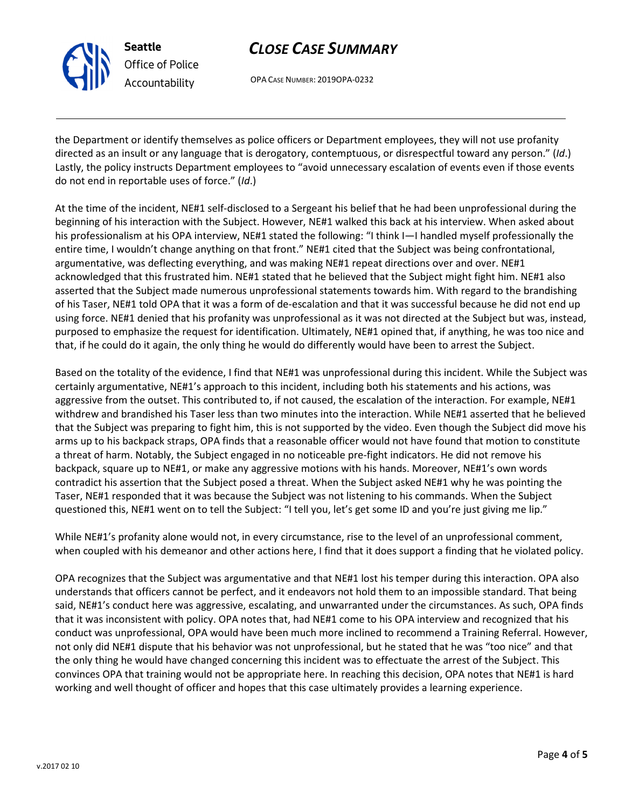OPA CASE NUMBER: 2019OPA-0232

the Department or identify themselves as police officers or Department employees, they will not use profanity directed as an insult or any language that is derogatory, contemptuous, or disrespectful toward any person." (Id.) Lastly, the policy instructs Department employees to "avoid unnecessary escalation of events even if those events do not end in reportable uses of force." (Id.)

At the time of the incident, NE#1 self-disclosed to a Sergeant his belief that he had been unprofessional during the beginning of his interaction with the Subject. However, NE#1 walked this back at his interview. When asked about his professionalism at his OPA interview, NE#1 stated the following: "I think I—I handled myself professionally the entire time, I wouldn't change anything on that front." NE#1 cited that the Subject was being confrontational, argumentative, was deflecting everything, and was making NE#1 repeat directions over and over. NE#1 acknowledged that this frustrated him. NE#1 stated that he believed that the Subject might fight him. NE#1 also asserted that the Subject made numerous unprofessional statements towards him. With regard to the brandishing of his Taser, NE#1 told OPA that it was a form of de-escalation and that it was successful because he did not end up using force. NE#1 denied that his profanity was unprofessional as it was not directed at the Subject but was, instead, purposed to emphasize the request for identification. Ultimately, NE#1 opined that, if anything, he was too nice and that, if he could do it again, the only thing he would do differently would have been to arrest the Subject.

Based on the totality of the evidence, I find that NE#1 was unprofessional during this incident. While the Subject was certainly argumentative, NE#1's approach to this incident, including both his statements and his actions, was aggressive from the outset. This contributed to, if not caused, the escalation of the interaction. For example, NE#1 withdrew and brandished his Taser less than two minutes into the interaction. While NE#1 asserted that he believed that the Subject was preparing to fight him, this is not supported by the video. Even though the Subject did move his arms up to his backpack straps, OPA finds that a reasonable officer would not have found that motion to constitute a threat of harm. Notably, the Subject engaged in no noticeable pre-fight indicators. He did not remove his backpack, square up to NE#1, or make any aggressive motions with his hands. Moreover, NE#1's own words contradict his assertion that the Subject posed a threat. When the Subject asked NE#1 why he was pointing the Taser, NE#1 responded that it was because the Subject was not listening to his commands. When the Subject questioned this, NE#1 went on to tell the Subject: "I tell you, let's get some ID and you're just giving me lip."

While NE#1's profanity alone would not, in every circumstance, rise to the level of an unprofessional comment, when coupled with his demeanor and other actions here, I find that it does support a finding that he violated policy.

OPA recognizes that the Subject was argumentative and that NE#1 lost his temper during this interaction. OPA also understands that officers cannot be perfect, and it endeavors not hold them to an impossible standard. That being said, NE#1's conduct here was aggressive, escalating, and unwarranted under the circumstances. As such, OPA finds that it was inconsistent with policy. OPA notes that, had NE#1 come to his OPA interview and recognized that his conduct was unprofessional, OPA would have been much more inclined to recommend a Training Referral. However, not only did NE#1 dispute that his behavior was not unprofessional, but he stated that he was "too nice" and that the only thing he would have changed concerning this incident was to effectuate the arrest of the Subject. This convinces OPA that training would not be appropriate here. In reaching this decision, OPA notes that NE#1 is hard working and well thought of officer and hopes that this case ultimately provides a learning experience.



Seattle

Office of Police Accountability